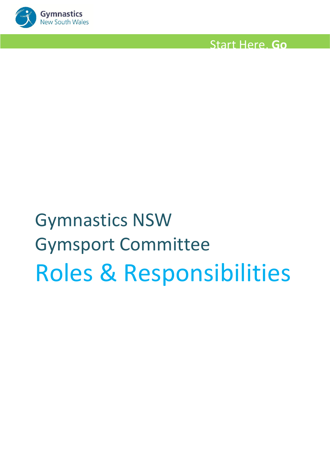

# Gymnastics NSW Gymsport Committee Roles & Responsibilities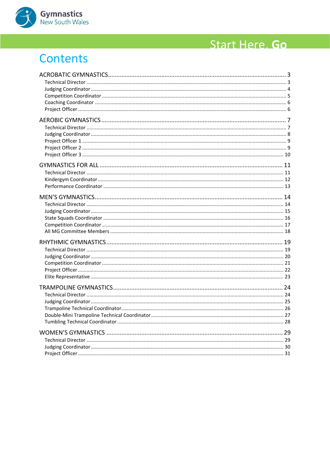

## Contents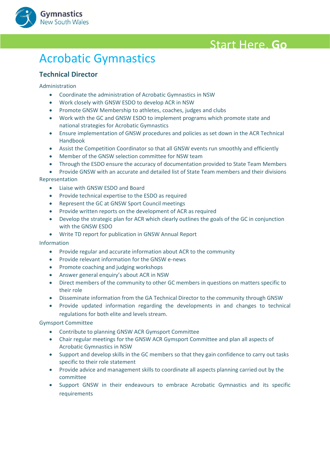



### <span id="page-2-0"></span>**Acrobatic Gymnastics**

#### <span id="page-2-1"></span>**Technical Director**

#### Administration

- Coordinate the administration of Acrobatic Gymnastics in NSW
- Work closely with GNSW ESDO to develop ACR in NSW
- Promote GNSW Membership to athletes, coaches, judges and clubs
- Work with the GC and GNSW ESDO to implement programs which promote state and national strategies for Acrobatic Gymnastics
- Ensure implementation of GNSW procedures and policies as set down in the ACR Technical Handbook
- Assist the Competition Coordinator so that all GNSW events run smoothly and efficiently
- Member of the GNSW selection committee for NSW team
- Through the ESDO ensure the accuracy of documentation provided to State Team Members
- Provide GNSW with an accurate and detailed list of State Team members and their divisions Representation
	- Liaise with GNSW ESDO and Board
	- Provide technical expertise to the ESDO as required
	- Represent the GC at GNSW Sport Council meetings
	- Provide written reports on the development of ACR as required
	- Develop the strategic plan for ACR which clearly outlines the goals of the GC in conjunction with the GNSW ESDO
	- Write TD report for publication in GNSW Annual Report

#### Information

- Provide regular and accurate information about ACR to the community
- Provide relevant information for the GNSW e-news
- Promote coaching and judging workshops
- Answer general enquiry's about ACR in NSW
- Direct members of the community to other GC members in questions on matters specific to their role
- Disseminate information from the GA Technical Director to the community through GNSW
- Provide updated information regarding the developments in and changes to technical regulations for both elite and levels stream.

- Contribute to planning GNSW ACR Gymsport Committee
- Chair regular meetings for the GNSW ACR Gymsport Committee and plan all aspects of Acrobatic Gymnastics in NSW
- Support and develop skills in the GC members so that they gain confidence to carry out tasks specific to their role statement
- Provide advice and management skills to coordinate all aspects planning carried out by the committee
- Support GNSW in their endeavours to embrace Acrobatic Gymnastics and its specific requirements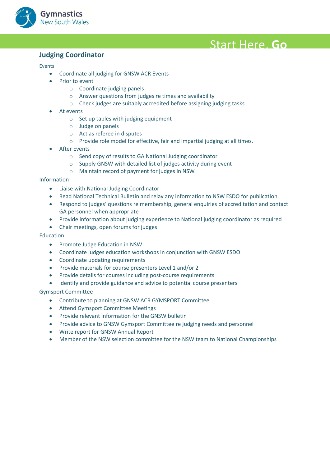

#### <span id="page-3-0"></span>**Anywhere! Judging Coordinator**

#### Events

- Coordinate all judging for GNSW ACR Events
- Prior to event
	- o Coordinate judging panels
	- o Answer questions from judges re times and availability
	- o Check judges are suitably accredited before assigning judging tasks
- At events
	- $\circ$  Set up tables with judging equipment
	- o Judge on panels
	- o Act as referee in disputes
	- o Provide role model for effective, fair and impartial judging at all times.
- **After Events** 
	- o Send copy of results to GA National Judging coordinator
	- o Supply GNSW with detailed list of judges activity during event
	- o Maintain record of payment for judges in NSW

#### Information

- Liaise with National Judging Coordinator
- Read National Technical Bulletin and relay any information to NSW ESDO for publication
- Respond to judges' questions re membership, general enquiries of accreditation and contact GA personnel when appropriate
- Provide information about judging experience to National judging coordinator as required
- Chair meetings, open forums for judges

#### Education

- Promote Judge Education in NSW
- Coordinate judges education workshops in conjunction with GNSW ESDO
- Coordinate updating requirements
- Provide materials for course presenters Level 1 and/or 2
- Provide details for courses including post-course requirements
- Identify and provide guidance and advice to potential course presenters

- Contribute to planning at GNSW ACR GYMSPORT Committee
- Attend Gymsport Committee Meetings
- Provide relevant information for the GNSW bulletin
- Provide advice to GNSW Gymsport Committee re judging needs and personnel
- Write report for GNSW Annual Report
- Member of the NSW selection committee for the NSW team to National Championships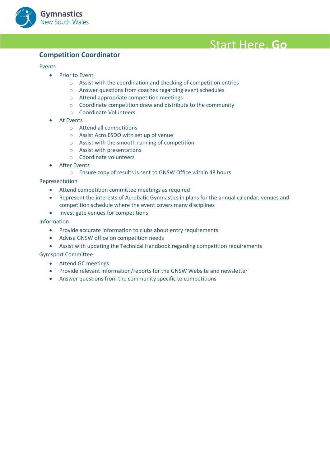

#### <span id="page-4-0"></span>**Competition Coordinator**

#### Events

- Prior to Event
	- o Assist with the coordination and checking of competition entries
	- o Answer questions from coaches regarding event schedules
	- o Attend appropriate competition meetings
	- o Coordinate competition draw and distribute to the community
	- o Coordinate Volunteers
- At Events
	- o Attend all competitions
	- o Assist Acro ESDO with set up of venue
	- o Assist with the smooth running of competition
	- o Assist with presentations
	- o Coordinate volunteers
- **After Events** 
	- o Ensure copy of results is sent to GNSW Office within 48 hours

#### Representation

- Attend competition committee meetings as required
- Represent the interests of Acrobatic Gymnastics in plans for the annual calendar, venues and competition schedule where the event covers many disciplines
- Investigate venues for competitions

Information

- Provide accurate information to clubs about entry requirements
- Advise GNSW office on competition needs
- Assist with updating the Technical Handbook regarding competition requirements

- Attend GC meetings
- Provide relevant information/reports for the GNSW Website and newsletter
- Answer questions from the community specific to competitions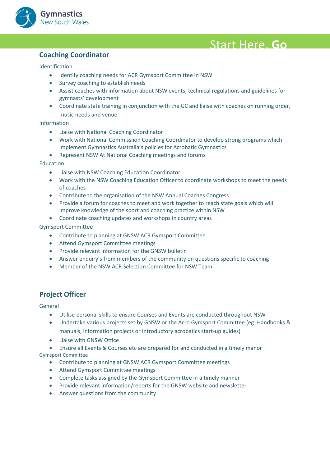

#### <span id="page-5-0"></span>**Anywhere! Coaching Coordinator**

Identification

- Identify coaching needs for ACR Gymsport Committee in NSW
- Survey coaching to establish needs
- Assist coaches with information about NSW events, technical regulations and guidelines for gymnasts' development
- Coordinate state training in conjunction with the GC and liaise with coaches on running order, music needs and venue

#### Information

- Liaise with National Coaching Coordinator
- Work with National Commissiion Coaching Coordinator to develop strong programs which implement Gymnastics Australia's policies for Acrobatic Gymnastics
- Represent NSW At National Coaching meetings and forums

Education

- Liaise with NSW Coaching Education Coordinator
- Work with the NSW Coaching Education Officer to coordinate workshops to meet the needs of coaches
- Contribute to the organisation of the NSW Annual Coaches Congress
- Provide a forum for coaches to meet and work together to reach state goals which will improve knowledge of the sport and coaching practice within NSW
- Coordinate coaching updates and workshops in country areas

#### Gymsport Committee

- Contribute to planning at GNSW ACR Gymsport Committee
- Attend Gymsport Committee meetings
- Provide relevant information for the GNSW bulletin
- Answer enquiry's from members of the community on questions specific to coaching
- Member of the NSW ACR Selection Committee for NSW Team

#### <span id="page-5-1"></span>**Project Officer**

General

- Utilise personal skills to ensure Courses and Events are conducted throughout NSW
- Undertake various projects set by GNSW or the Acro Gymsport Committee (eg. Handbooks & manuals, information projects or Introductory acrobatics start-up guides)
- Liaise with GNSW Office
- Ensure all Events & Courses etc are prepared for and conducted in a timely manor

- Contribute to planning at GNSW ACR Gymsport Committee meetings
- Attend Gymsport Committee meetings
- Complete tasks assigned by the Gymsport Committee in a timely manner
- Provide relevant information/reports for the GNSW website and newsletter
- Answer questions from the community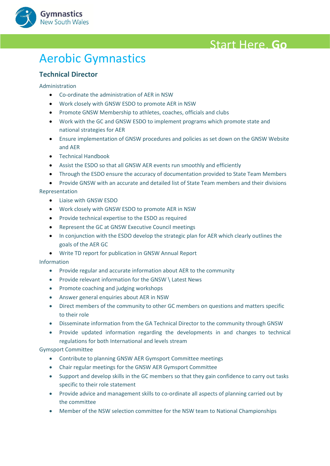

### <span id="page-6-0"></span>**Aerobic Gymnastics**

#### <span id="page-6-1"></span>**Technical Director**

#### Administration

- Co-ordinate the administration of AER in NSW
- Work closely with GNSW ESDO to promote AER in NSW
- Promote GNSW Membership to athletes, coaches, officials and clubs
- Work with the GC and GNSW ESDO to implement programs which promote state and national strategies for AER
- Ensure implementation of GNSW procedures and policies as set down on the GNSW Website and AER
- Technical Handbook
- Assist the ESDO so that all GNSW AER events run smoothly and efficiently
- Through the ESDO ensure the accuracy of documentation provided to State Team Members

• Provide GNSW with an accurate and detailed list of State Team members and their divisions Representation

- Liaise with GNSW ESDO
- Work closely with GNSW ESDO to promote AER in NSW
- Provide technical expertise to the ESDO as required
- Represent the GC at GNSW Executive Council meetings
- In conjunction with the ESDO develop the strategic plan for AER which clearly outlines the goals of the AER GC
- Write TD report for publication in GNSW Annual Report

#### Information

- Provide regular and accurate information about AER to the community
- Provide relevant information for the GNSW \ Latest News
- Promote coaching and judging workshops
- Answer general enquiries about AER in NSW
- Direct members of the community to other GC members on questions and matters specific to their role
- Disseminate information from the GA Technical Director to the community through GNSW
- Provide updated information regarding the developments in and changes to technical regulations for both International and levels stream

- Contribute to planning GNSW AER Gymsport Committee meetings
- Chair regular meetings for the GNSW AER Gymsport Committee
- Support and develop skills in the GC members so that they gain confidence to carry out tasks specific to their role statement
- Provide advice and management skills to co-ordinate all aspects of planning carried out by the committee
- Member of the NSW selection committee for the NSW team to National Championships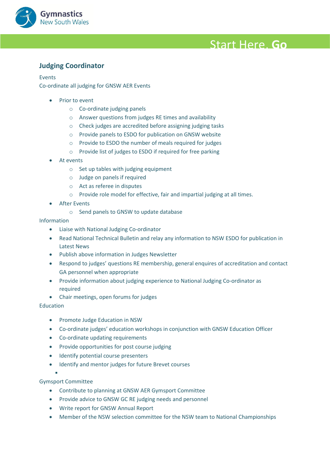

#### <span id="page-7-0"></span>**Anywhere! Judging Coordinator**

#### Events

Co-ordinate all judging for GNSW AER Events

- **Prior to event** 
	- o Co-ordinate judging panels
	- o Answer questions from judges RE times and availability
	- o Check judges are accredited before assigning judging tasks
	- o Provide panels to ESDO for publication on GNSW website
	- o Provide to ESDO the number of meals required for judges
	- o Provide list of judges to ESDO if required for free parking
- At events
	- o Set up tables with judging equipment
	- o Judge on panels if required
	- o Act as referee in disputes
	- o Provide role model for effective, fair and impartial judging at all times.
- **After Events** 
	- o Send panels to GNSW to update database

#### Information

- Liaise with National Judging Co-ordinator
- Read National Technical Bulletin and relay any information to NSW ESDO for publication in Latest News
- Publish above information in Judges Newsletter
- Respond to judges' questions RE membership, general enquires of accreditation and contact GA personnel when appropriate
- Provide information about judging experience to National Judging Co-ordinator as required
- Chair meetings, open forums for judges

#### Education

- Promote Judge Education in NSW
- Co-ordinate judges' education workshops in conjunction with GNSW Education Officer
- Co-ordinate updating requirements
- Provide opportunities for post course judging
- Identify potential course presenters
- Identify and mentor judges for future Brevet courses

#### Gymsport Committee

▪

- Contribute to planning at GNSW AER Gymsport Committee
- Provide advice to GNSW GC RE judging needs and personnel
- Write report for GNSW Annual Report
- Member of the NSW selection committee for the NSW team to National Championships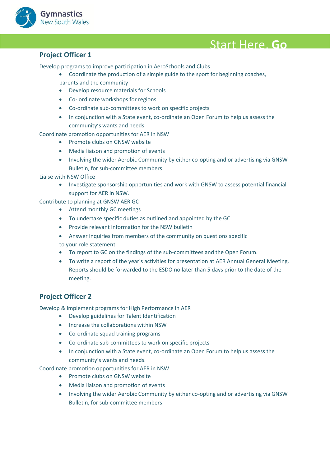

<span id="page-8-0"></span>**Project Officer 1**<br>Develop programs to improve participation in AeroSchools and Clubs

- Coordinate the production of a simple guide to the sport for beginning coaches, parents and the community
- Develop resource materials for Schools
- Co- ordinate workshops for regions
- Co-ordinate sub-committees to work on specific projects
- In conjunction with a State event, co-ordinate an Open Forum to help us assess the community's wants and needs.
- Coordinate promotion opportunities for AER in NSW
	- Promote clubs on GNSW website
	- Media liaison and promotion of events
	- Involving the wider Aerobic Community by either co-opting and or advertising via GNSW Bulletin, for sub-committee members

Liaise with NSW Office

• Investigate sponsorship opportunities and work with GNSW to assess potential financial support for AER in NSW.

Contribute to planning at GNSW AER GC

- Attend monthly GC meetings
- To undertake specific duties as outlined and appointed by the GC
- Provide relevant information for the NSW bulletin
- Answer inquiries from members of the community on questions specific to your role statement
- To report to GC on the findings of the sub-committees and the Open Forum.
- To write a report of the year's activities for presentation at AER Annual General Meeting. Reports should be forwarded to the ESDO no later than 5 days prior to the date of the meeting.

#### <span id="page-8-1"></span>**Project Officer 2**

Develop & Implement programs for High Performance in AER

- Develop guidelines for Talent Identification
- Increase the collaborations within NSW
- Co-ordinate squad training programs
- Co-ordinate sub-committees to work on specific projects
- In conjunction with a State event, co-ordinate an Open Forum to help us assess the community's wants and needs.

Coordinate promotion opportunities for AER in NSW

- Promote clubs on GNSW website
- Media liaison and promotion of events
- Involving the wider Aerobic Community by either co-opting and or advertising via GNSW Bulletin, for sub-committee members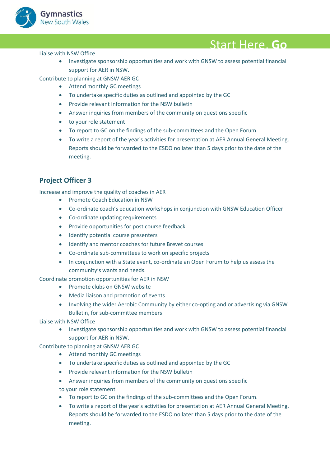

#### Liaise with NSW Office

• Investigate sponsorship opportunities and work with GNSW to assess potential financial<br>• Change of the state of the state of the state of the state of the state of the state of the state of the state of the state of the support for AER in NSW.

Contribute to planning at GNSW AER GC

- Attend monthly GC meetings
- To undertake specific duties as outlined and appointed by the GC
- Provide relevant information for the NSW bulletin
- Answer inquiries from members of the community on questions specific
- to your role statement
- To report to GC on the findings of the sub-committees and the Open Forum.
- To write a report of the year's activities for presentation at AER Annual General Meeting. Reports should be forwarded to the ESDO no later than 5 days prior to the date of the meeting.

### <span id="page-9-0"></span>**Project Officer 3**

Increase and improve the quality of coaches in AER

- Promote Coach Education in NSW
- Co-ordinate coach's education workshops in conjunction with GNSW Education Officer
- Co-ordinate updating requirements
- Provide opportunities for post course feedback
- Identify potential course presenters
- Identify and mentor coaches for future Brevet courses
- Co-ordinate sub-committees to work on specific projects
- In conjunction with a State event, co-ordinate an Open Forum to help us assess the community's wants and needs.

Coordinate promotion opportunities for AER in NSW

- Promote clubs on GNSW website
- Media liaison and promotion of events
- Involving the wider Aerobic Community by either co-opting and or advertising via GNSW Bulletin, for sub-committee members

Liaise with NSW Office

• Investigate sponsorship opportunities and work with GNSW to assess potential financial support for AER in NSW.

Contribute to planning at GNSW AER GC

- Attend monthly GC meetings
- To undertake specific duties as outlined and appointed by the GC
- Provide relevant information for the NSW bulletin
- Answer inquiries from members of the community on questions specific
- to your role statement
- To report to GC on the findings of the sub-committees and the Open Forum.
- To write a report of the year's activities for presentation at AER Annual General Meeting. Reports should be forwarded to the ESDO no later than 5 days prior to the date of the meeting.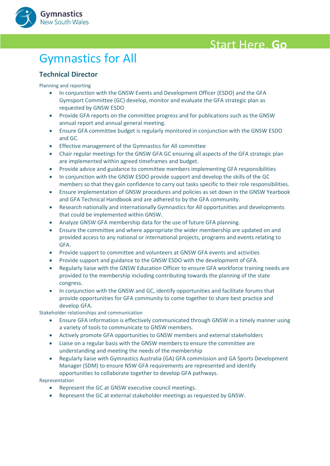

## <span id="page-10-0"></span>**Gymnastics for All**

### <span id="page-10-1"></span>**Technical Director**

Planning and reporting

- In conjunction with the GNSW Events and Development Officer (ESDO) and the GFA Gymsport Committee (GC) develop, monitor and evaluate the GFA strategic plan as requested by GNSW ESDO
- Provide GFA reports on the committee progress and for publications such as the GNSW annual report and annual general meeting.
- Ensure GFA committee budget is regularly monitored in conjunction with the GNSW ESDO and GC.
- Effective management of the Gymnastics for All committee
- Chair regular meetings for the GNSW GFA GC ensuring all aspects of the GFA strategic plan are implemented within agreed timeframes and budget.
- Provide advice and guidance to committee members implementing GFA responsibilities
- In conjunction with the GNSW ESDO provide support and develop the skills of the GC members so that they gain confidence to carry out tasks specific to their role responsibilities.
- Ensure implementation of GNSW procedures and policies as set down in the GNSW Yearbook and GFA Technical Handbook and are adhered to by the GFA community.
- Research nationally and internationally Gymnastics for All opportunities and developments that could be implemented within GNSW.
- Analyze GNSW GFA membership data for the use of future GFA planning.
- Ensure the committee and where appropriate the wider membership are updated on and provided access to any national or international projects, programs and events relating to GFA.
- Provide support to committee and volunteers at GNSW GFA events and activities
- Provide support and guidance to the GNSW ESDO with the development of GFA.
- Regularly liaise with the GNSW Education Officer to ensure GFA workforce training needs are provided to the membership including contributing towards the planning of the state congress.
- In conjunction with the GNSW and GC, identify opportunities and facilitate forums that provide opportunities for GFA community to come together to share best practice and develop GFA.

Stakeholder relationships and communication

- Ensure GFA information is effectively communicated through GNSW in a timely manner using a variety of tools to communicate to GNSW members.
- Actively promote GFA opportunities to GNSW members and external stakeholders
- Liaise on a regular basis with the GNSW members to ensure the committee are understanding and meeting the needs of the membership
- Regularly liaise with Gymnastics Australia (GA) GFA commission and GA Sports Development Manager (SDM) to ensure NSW GFA requirements are represented and identify opportunities to collaborate together to develop GFA pathways.

Representation

- Represent the GC at GNSW executive council meetings.
- Represent the GC at external stakeholder meetings as requested by GNSW.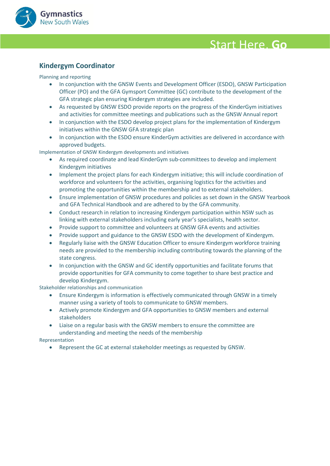

#### <span id="page-11-0"></span>**Kindergym Coordinator**

Planning and reporting

- In conjunction with the GNSW Events and Development Officer (ESDO), GNSW Participation Officer (PO) and the GFA Gymsport Committee (GC) contribute to the development of the GFA strategic plan ensuring Kindergym strategies are included.
- As requested by GNSW ESDO provide reports on the progress of the KinderGym initiatives and activities for committee meetings and publications such as the GNSW Annual report
- In conjunction with the ESDO develop project plans for the implementation of Kindergym initiatives within the GNSW GFA strategic plan
- In conjunction with the ESDO ensure KinderGym activities are delivered in accordance with approved budgets.

Implementation of GNSW Kindergym developments and initiatives

- As required coordinate and lead KinderGym sub-committees to develop and implement Kindergym initiatives
- Implement the project plans for each Kindergym initiative; this will include coordination of workforce and volunteers for the activities, organising logistics for the activities and promoting the opportunities within the membership and to external stakeholders.
- Ensure implementation of GNSW procedures and policies as set down in the GNSW Yearbook and GFA Technical Handbook and are adhered to by the GFA community.
- Conduct research in relation to increasing Kindergym participation within NSW such as linking with external stakeholders including early year's specialists, health sector.
- Provide support to committee and volunteers at GNSW GFA events and activities
- Provide support and guidance to the GNSW ESDO with the development of Kindergym.
- Regularly liaise with the GNSW Education Officer to ensure Kindergym workforce training needs are provided to the membership including contributing towards the planning of the state congress.
- In conjunction with the GNSW and GC identify opportunities and facilitate forums that provide opportunities for GFA community to come together to share best practice and develop Kindergym.

Stakeholder relationships and communication

- Ensure Kindergym is information is effectively communicated through GNSW in a timely manner using a variety of tools to communicate to GNSW members.
- Actively promote Kindergym and GFA opportunities to GNSW members and external stakeholders
- Liaise on a regular basis with the GNSW members to ensure the committee are understanding and meeting the needs of the membership

Representation

• Represent the GC at external stakeholder meetings as requested by GNSW.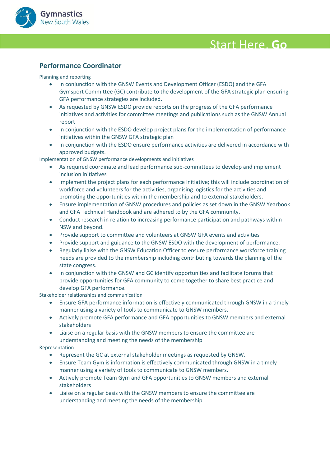

#### <span id="page-12-0"></span>**Anywhere! Performance Coordinator**

Planning and reporting

- In conjunction with the GNSW Events and Development Officer (ESDO) and the GFA Gymsport Committee (GC) contribute to the development of the GFA strategic plan ensuring GFA performance strategies are included.
- As requested by GNSW ESDO provide reports on the progress of the GFA performance initiatives and activities for committee meetings and publications such as the GNSW Annual report
- In conjunction with the ESDO develop project plans for the implementation of performance initiatives within the GNSW GFA strategic plan
- In conjunction with the ESDO ensure performance activities are delivered in accordance with approved budgets.

Implementation of GNSW performance developments and initiatives

- As required coordinate and lead performance sub-committees to develop and implement inclusion initiatives
- Implement the project plans for each performance initiative; this will include coordination of workforce and volunteers for the activities, organising logistics for the activities and promoting the opportunities within the membership and to external stakeholders.
- Ensure implementation of GNSW procedures and policies as set down in the GNSW Yearbook and GFA Technical Handbook and are adhered to by the GFA community.
- Conduct research in relation to increasing performance participation and pathways within NSW and beyond.
- Provide support to committee and volunteers at GNSW GFA events and activities
- Provide support and guidance to the GNSW ESDO with the development of performance.
- Regularly liaise with the GNSW Education Officer to ensure performance workforce training needs are provided to the membership including contributing towards the planning of the state congress.
- In conjunction with the GNSW and GC identify opportunities and facilitate forums that provide opportunities for GFA community to come together to share best practice and develop GFA performance.

Stakeholder relationships and communication

- Ensure GFA performance information is effectively communicated through GNSW in a timely manner using a variety of tools to communicate to GNSW members.
- Actively promote GFA performance and GFA opportunities to GNSW members and external stakeholders
- Liaise on a regular basis with the GNSW members to ensure the committee are understanding and meeting the needs of the membership

#### Representation

- Represent the GC at external stakeholder meetings as requested by GNSW.
- Ensure Team Gym is information is effectively communicated through GNSW in a timely manner using a variety of tools to communicate to GNSW members.
- Actively promote Team Gym and GFA opportunities to GNSW members and external stakeholders
- Liaise on a regular basis with the GNSW members to ensure the committee are understanding and meeting the needs of the membership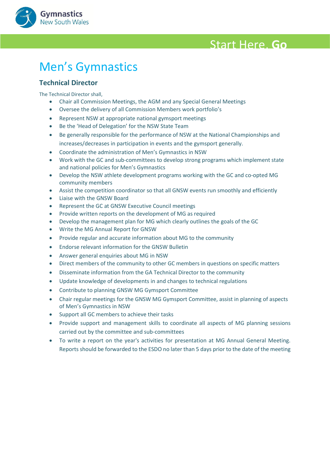

## <span id="page-13-0"></span>**Men's Gymnastics**

#### <span id="page-13-1"></span>**Technical Director**

**Gymnastics** New South Wales

The Technical Director shall,

- Chair all Commission Meetings, the AGM and any Special General Meetings
- Oversee the delivery of all Commission Members work portfolio's
- Represent NSW at appropriate national gymsport meetings
- Be the 'Head of Delegation' for the NSW State Team
- Be generally responsible for the performance of NSW at the National Championships and increases/decreases in participation in events and the gymsport generally.
- Coordinate the administration of Men's Gymnastics in NSW
- Work with the GC and sub-committees to develop strong programs which implement state and national policies for Men's Gymnastics
- Develop the NSW athlete development programs working with the GC and co-opted MG community members
- Assist the competition coordinator so that all GNSW events run smoothly and efficiently
- Liaise with the GNSW Board
- Represent the GC at GNSW Executive Council meetings
- Provide written reports on the development of MG as required
- Develop the management plan for MG which clearly outlines the goals of the GC
- Write the MG Annual Report for GNSW
- Provide regular and accurate information about MG to the community
- Endorse relevant information for the GNSW Bulletin
- Answer general enquiries about MG in NSW
- Direct members of the community to other GC members in questions on specific matters
- Disseminate information from the GA Technical Director to the community
- Update knowledge of developments in and changes to technical regulations
- Contribute to planning GNSW MG Gymsport Committee
- Chair regular meetings for the GNSW MG Gymsport Committee, assist in planning of aspects of Men's Gymnastics in NSW
- Support all GC members to achieve their tasks
- Provide support and management skills to coordinate all aspects of MG planning sessions carried out by the committee and sub-committees
- To write a report on the year's activities for presentation at MG Annual General Meeting. Reports should be forwarded to the ESDO no later than 5 days prior to the date of the meeting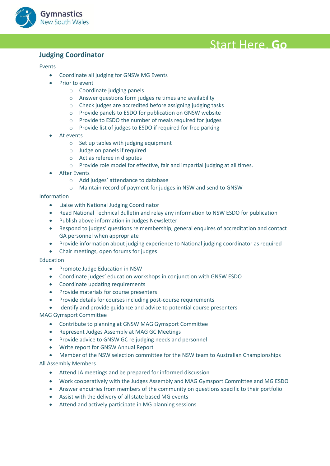

#### <span id="page-14-0"></span>**Anywhere! Judging Coordinator**

#### Events

- Coordinate all judging for GNSW MG Events
- Prior to event
	- o Coordinate judging panels
	- o Answer questions form judges re times and availability
	- o Check judges are accredited before assigning judging tasks
	- o Provide panels to ESDO for publication on GNSW website
	- o Provide to ESDO the number of meals required for judges
	- o Provide list of judges to ESDO if required for free parking
- At events
	- $\circ$  Set up tables with judging equipment
	- o Judge on panels if required
	- o Act as referee in disputes
	- o Provide role model for effective, fair and impartial judging at all times.
- **After Events** 
	- o Add judges' attendance to database
	- o Maintain record of payment for judges in NSW and send to GNSW

#### Information

- Liaise with National Judging Coordinator
- Read National Technical Bulletin and relay any information to NSW ESDO for publication
- Publish above information in Judges Newsletter
- Respond to judges' questions re membership, general enquires of accreditation and contact GA personnel when appropriate
- Provide information about judging experience to National judging coordinator as required
- Chair meetings, open forums for judges

#### Education

- Promote Judge Education in NSW
- Coordinate judges' education workshops in conjunction with GNSW ESDO
- Coordinate updating requirements
- Provide materials for course presenters
- Provide details for courses including post-course requirements
- Identify and provide guidance and advice to potential course presenters

#### MAG Gymsport Committee

- Contribute to planning at GNSW MAG Gymsport Committee
- Represent Judges Assembly at MAG GC Meetings
- Provide advice to GNSW GC re judging needs and personnel
- Write report for GNSW Annual Report
- Member of the NSW selection committee for the NSW team to Australian Championships

#### All Assembly Members

- Attend JA meetings and be prepared for informed discussion
- Work cooperatively with the Judges Assembly and MAG Gymsport Committee and MG ESDO
- Answer enquiries from members of the community on questions specific to their portfolio
- Assist with the delivery of all state based MG events
- Attend and actively participate in MG planning sessions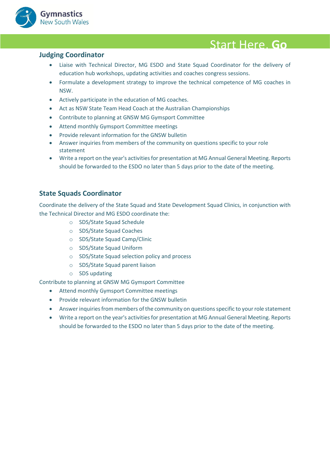

- **Judging Coordinator**<br>• Liaise with Technical Director, MG ESDO and State Squad Coordinator for the delivery of education hub workshops, updating activities and coaches congress sessions.
	- Formulate a development strategy to improve the technical competence of MG coaches in NSW.
	- Actively participate in the education of MG coaches.
	- Act as NSW State Team Head Coach at the Australian Championships
	- Contribute to planning at GNSW MG Gymsport Committee
	- Attend monthly Gymsport Committee meetings
	- Provide relevant information for the GNSW bulletin
	- Answer inquiries from members of the community on questions specific to your role statement
	- Write a report on the year's activities for presentation at MG Annual General Meeting. Reports should be forwarded to the ESDO no later than 5 days prior to the date of the meeting.

#### <span id="page-15-0"></span>**State Squads Coordinator**

Coordinate the delivery of the State Squad and State Development Squad Clinics, in conjunction with the Technical Director and MG ESDO coordinate the:

- o SDS/State Squad Schedule
- o SDS/State Squad Coaches
- o SDS/State Squad Camp/Clinic
- o SDS/State Squad Uniform
- o SDS/State Squad selection policy and process
- o SDS/State Squad parent liaison
- o SDS updating

Contribute to planning at GNSW MG Gymsport Committee

- Attend monthly Gymsport Committee meetings
- Provide relevant information for the GNSW bulletin
- Answer inquiries from members of the community on questions specific to your role statement
- Write a report on the year's activities for presentation at MG Annual General Meeting. Reports should be forwarded to the ESDO no later than 5 days prior to the date of the meeting.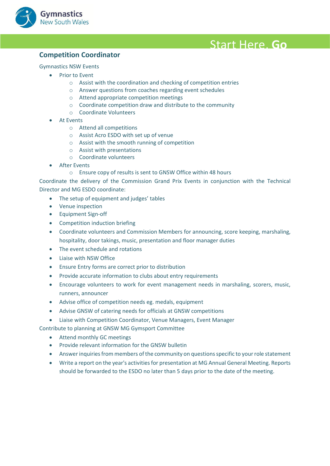

#### <span id="page-16-0"></span>**Competition Coordinator**

#### Gymnastics NSW Events

- Prior to Event
	- o Assist with the coordination and checking of competition entries
	- o Answer questions from coaches regarding event schedules
	- o Attend appropriate competition meetings
	- o Coordinate competition draw and distribute to the community
	- o Coordinate Volunteers
- At Events
	- o Attend all competitions
	- o Assist Acro ESDO with set up of venue
	- o Assist with the smooth running of competition
	- o Assist with presentations
	- o Coordinate volunteers
- **After Events** 
	- o Ensure copy of results is sent to GNSW Office within 48 hours

Coordinate the delivery of the Commission Grand Prix Events in conjunction with the Technical Director and MG ESDO coordinate:

- The setup of equipment and judges' tables
- Venue inspection
- Equipment Sign-off
- Competition induction briefing
- Coordinate volunteers and Commission Members for announcing, score keeping, marshaling, hospitality, door takings, music, presentation and floor manager duties
- The event schedule and rotations
- Liaise with NSW Office
- Ensure Entry forms are correct prior to distribution
- Provide accurate information to clubs about entry requirements
- Encourage volunteers to work for event management needs in marshaling, scorers, music, runners, announcer
- Advise office of competition needs eg. medals, equipment
- Advise GNSW of catering needs for officials at GNSW competitions
- Liaise with Competition Coordinator, Venue Managers, Event Manager
- Contribute to planning at GNSW MG Gymsport Committee
	- Attend monthly GC meetings
	- Provide relevant information for the GNSW bulletin
	- Answer inquiries from members of the community on questions specific to your role statement
	- Write a report on the year's activities for presentation at MG Annual General Meeting. Reports should be forwarded to the ESDO no later than 5 days prior to the date of the meeting.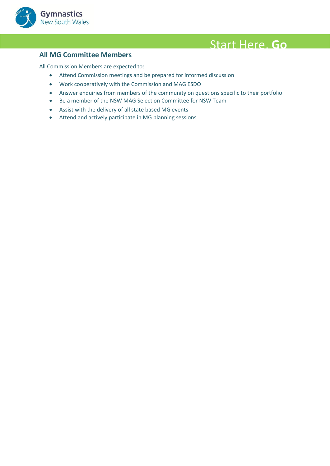

<span id="page-17-0"></span>**All MG Committee Members<br>All Commission Members are expected to:** 

- Attend Commission meetings and be prepared for informed discussion
- Work cooperatively with the Commission and MAG ESDO
- Answer enquiries from members of the community on questions specific to their portfolio
- Be a member of the NSW MAG Selection Committee for NSW Team
- Assist with the delivery of all state based MG events
- Attend and actively participate in MG planning sessions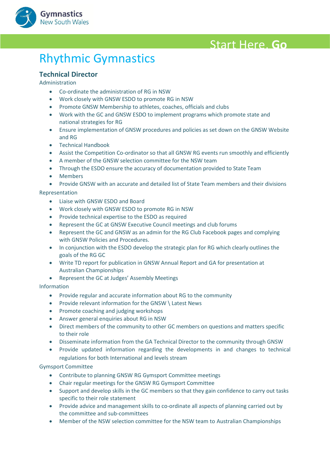



### <span id="page-18-0"></span>**Rhythmic Gymnastics**

#### <span id="page-18-1"></span>**Technical Director**

Administration

- Co-ordinate the administration of RG in NSW
- Work closely with GNSW ESDO to promote RG in NSW
- Promote GNSW Membership to athletes, coaches, officials and clubs
- Work with the GC and GNSW ESDO to implement programs which promote state and national strategies for RG
- Ensure implementation of GNSW procedures and policies as set down on the GNSW Website and RG
- Technical Handbook
- Assist the Competition Co-ordinator so that all GNSW RG events run smoothly and efficiently
- A member of the GNSW selection committee for the NSW team
- Through the ESDO ensure the accuracy of documentation provided to State Team
- Members
- Provide GNSW with an accurate and detailed list of State Team members and their divisions

#### Representation

- Liaise with GNSW ESDO and Board
- Work closely with GNSW ESDO to promote RG in NSW
- Provide technical expertise to the ESDO as required
- Represent the GC at GNSW Executive Council meetings and club forums
- Represent the GC and GNSW as an admin for the RG Club Facebook pages and complying with GNSW Policies and Procedures.
- In conjunction with the ESDO develop the strategic plan for RG which clearly outlines the goals of the RG GC
- Write TD report for publication in GNSW Annual Report and GA for presentation at Australian Championships
- Represent the GC at Judges' Assembly Meetings

#### Information

- Provide regular and accurate information about RG to the community
- Provide relevant information for the GNSW \ Latest News
- Promote coaching and judging workshops
- Answer general enquiries about RG in NSW
- Direct members of the community to other GC members on questions and matters specific to their role
- Disseminate information from the GA Technical Director to the community through GNSW
- Provide updated information regarding the developments in and changes to technical regulations for both International and levels stream

- Contribute to planning GNSW RG Gymsport Committee meetings
- Chair regular meetings for the GNSW RG Gymsport Committee
- Support and develop skills in the GC members so that they gain confidence to carry out tasks specific to their role statement
- Provide advice and management skills to co-ordinate all aspects of planning carried out by the committee and sub-committees
- Member of the NSW selection committee for the NSW team to Australian Championships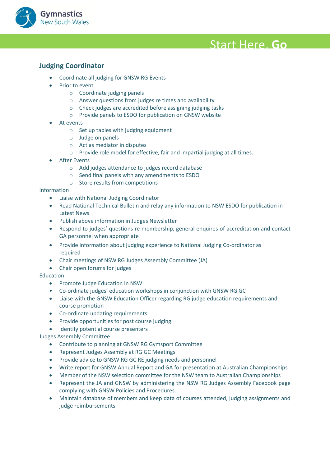

#### <span id="page-19-0"></span>**Anywhere! Judging Coordinator**

- Coordinate all judging for GNSW RG Events
- **Prior to event** 
	- o Coordinate judging panels
	- o Answer questions from judges re times and availability
	- o Check judges are accredited before assigning judging tasks
	- o Provide panels to ESDO for publication on GNSW website
- At events
	- o Set up tables with judging equipment
	- o Judge on panels
	- o Act as mediator in disputes
	- o Provide role model for effective, fair and impartial judging at all times.
- **After Events** 
	- o Add judges attendance to judges record database
	- o Send final panels with any amendments to ESDO
	- o Store results from competitions

Information

- Liaise with National Judging Coordinator
- Read National Technical Bulletin and relay any information to NSW ESDO for publication in Latest News
- Publish above information in Judges Newsletter
- Respond to judges' questions re membership, general enquires of accreditation and contact GA personnel when appropriate
- Provide information about judging experience to National Judging Co-ordinator as required
- Chair meetings of NSW RG Judges Assembly Committee (JA)
- Chair open forums for judges

#### Education

- Promote Judge Education in NSW
- Co-ordinate judges' education workshops in conjunction with GNSW RG GC
- Liaise with the GNSW Education Officer regarding RG judge education requirements and course promotion
- Co-ordinate updating requirements
- Provide opportunities for post course judging
- Identify potential course presenters

#### Judges Assembly Committee

- Contribute to planning at GNSW RG Gymsport Committee
- Represent Judges Assembly at RG GC Meetings
- Provide advice to GNSW RG GC RE judging needs and personnel
- Write report for GNSW Annual Report and GA for presentation at Australian Championships
- Member of the NSW selection committee for the NSW team to Australian Championships
- Represent the JA and GNSW by administering the NSW RG Judges Assembly Facebook page complying with GNSW Policies and Procedures.
- Maintain database of members and keep data of courses attended, judging assignments and judge reimbursements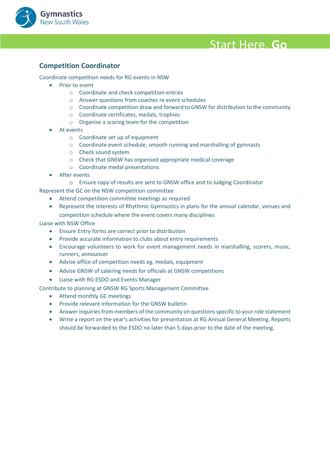

#### <span id="page-20-0"></span>**Competition Coordinator**

Coordinate competition needs for RG events in NSW

- Prior to event
	- o Coordinate and check competition entries
	- o Answer questions from coaches re event schedules
	- $\circ$  Coordinate competition draw and forward to GNSW for distribution to the community
	- o Coordinate certificates, medals, trophies
	- o Organise a scoring team for the competition
	- At events
		- o Coordinate set up of equipment
		- o Coordinate event schedule, smooth running and marshalling of gymnasts
		- o Check sound system
		- o Check that GNSW has organised appropriate medical coverage
		- o Coordinate medal presentations
	- After events
		- o Ensure copy of results are sent to GNSW office and to Judging Coordinator

Represent the GC on the NSW competition committee

- Attend competition committee meetings as required
- Represent the interests of Rhythmic Gymnastics in plans for the annual calendar, venues and competition schedule where the event covers many disciplines

Liaise with NSW Office

- Ensure Entry forms are correct prior to distribution
- Provide accurate information to clubs about entry requirements
- Encourage volunteers to work for event management needs in marshalling, scorers, music, runners, announcer
- Advise office of competition needs eg. medals, equipment
- Advise GNSW of catering needs for officials at GNSW competitions
- Liaise with RG ESDO and Events Manager

Contribute to planning at GNSW RG Sports Management Committee

- Attend monthly GC meetings
- Provide relevant information for the GNSW bulletin
- Answer inquiries from members of the community on questions specific to your role statement
- Write a report on the year's activities for presentation at RG Annual General Meeting. Reports should be forwarded to the ESDO no later than 5 days prior to the date of the meeting.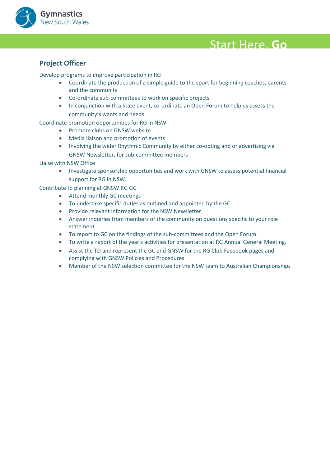

### <span id="page-21-0"></span>**Project Officer**

Develop programs to improve participation in RG

- Coordinate the production of a simple guide to the sport for beginning coaches, parents and the community
- Co-ordinate sub-committees to work on specific projects
- In conjunction with a State event, co-ordinate an Open Forum to help us assess the community's wants and needs.

Coordinate promotion opportunities for RG in NSW

- Promote clubs on GNSW website
- Media liaison and promotion of events
- Involving the wider Rhythmic Community by either co-opting and or advertising via GNSW Newsletter, for sub-committee members

Liaise with NSW Office

• Investigate sponsorship opportunities and work with GNSW to assess potential financial support for RG in NSW.

Contribute to planning at GNSW RG GC

- Attend monthly GC meetings
- To undertake specific duties as outlined and appointed by the GC
- Provide relevant information for the NSW Newsletter
- Answer inquiries from members of the community on questions specific to your role statement
- To report to GC on the findings of the sub-committees and the Open Forum.
- To write a report of the year's activities for presentation at RG Annual General Meeting.
- Assist the TD and represent the GC and GNSW for the RG Club Facebook pages and complying with GNSW Policies and Procedures.
- Member of the NSW selection committee for the NSW team to Australian Championships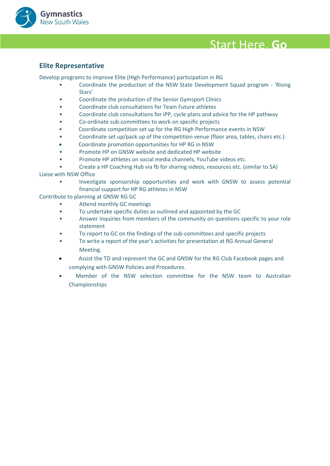

#### <span id="page-22-0"></span>**Anywhere! Elite Representative**

Develop programs to improve Elite (High Performance) participation in RG

- Coordinate the production of the NSW State Development Squad program 'Rising Stars'
- Coordinate the production of the Senior Gymsport Clinics
- Coordinate club consultations for Team Future athletes
- Coordinate club consultations for IPP, cycle plans and advice for the HP pathway
- Co-ordinate sub-committees to work on specific projects
- Coordinate competition set up for the RG High Performance events in NSW
- Coordinate set up/pack up of the competition venue (floor area, tables, chairs etc.)
- Coordinate promotion opportunities for HP RG in NSW
- Promote HP on GNSW website and dedicated HP website
- Promote HP athletes on social media channels, YouTube videos etc.

• Create a HP Coaching Hub via fb for sharing videos, resources etc. (similar to SA) Liaise with NSW Office

- - Investigate sponsorship opportunities and work with GNSW to assess potential financial support for HP RG athletes in NSW

Contribute to planning at GNSW RG GC

- Attend monthly GC meetings
- To undertake specific duties as outlined and appointed by the GC
- Answer inquiries from members of the community on questions specific to your role statement
- To report to GC on the findings of the sub-committees and specific projects
- To write a report of the year's activities for presentation at RG Annual General Meeting.
- Assist the TD and represent the GC and GNSW for the RG Club Facebook pages and complying with GNSW Policies and Procedures.
- Member of the NSW selection committee for the NSW team to Australian Championships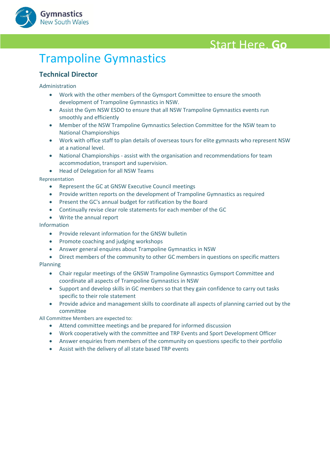

## <span id="page-23-0"></span>**Trampoline Gymnastics**

#### <span id="page-23-1"></span>**Technical Director**

Administration

- Work with the other members of the Gymsport Committee to ensure the smooth development of Trampoline Gymnastics in NSW.
- Assist the Gym NSW ESDO to ensure that all NSW Trampoline Gymnastics events run smoothly and efficiently
- Member of the NSW Trampoline Gymnastics Selection Committee for the NSW team to National Championships
- Work with office staff to plan details of overseas tours for elite gymnasts who represent NSW at a national level.
- National Championships assist with the organisation and recommendations for team accommodation, transport and supervision.
- Head of Delegation for all NSW Teams

Representation

- Represent the GC at GNSW Executive Council meetings
- Provide written reports on the development of Trampoline Gymnastics as required
- Present the GC's annual budget for ratification by the Board
- Continually revise clear role statements for each member of the GC
- Write the annual report

#### Information

- Provide relevant information for the GNSW bulletin
- Promote coaching and judging workshops
- Answer general enquires about Trampoline Gymnastics in NSW
- Direct members of the community to other GC members in questions on specific matters Planning
	- Chair regular meetings of the GNSW Trampoline Gymnastics Gymsport Committee and coordinate all aspects of Trampoline Gymnastics in NSW
	- Support and develop skills in GC members so that they gain confidence to carry out tasks specific to their role statement
	- Provide advice and management skills to coordinate all aspects of planning carried out by the committee

All Committee Members are expected to:

- Attend committee meetings and be prepared for informed discussion
- Work cooperatively with the committee and TRP Events and Sport Development Officer
- Answer enquiries from members of the community on questions specific to their portfolio
- Assist with the delivery of all state based TRP events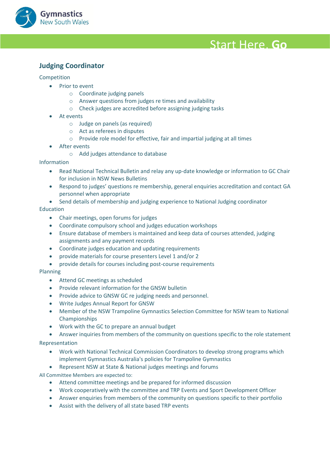

### <span id="page-24-0"></span>**Anywhere! Judging Coordinator**

#### Competition

- Prior to event
	- o Coordinate judging panels
	- o Answer questions from judges re times and availability
	- o Check judges are accredited before assigning judging tasks
- At events
	- o Judge on panels (as required)
	- o Act as referees in disputes
	- o Provide role model for effective, fair and impartial judging at all times
- After events
	- o Add judges attendance to database

#### Information

- Read National Technical Bulletin and relay any up-date knowledge or information to GC Chair for inclusion in NSW News Bulletins
- Respond to judges' questions re membership, general enquiries accreditation and contact GA personnel when appropriate
- Send details of membership and judging experience to National Judging coordinator

#### Education

- Chair meetings, open forums for judges
- Coordinate compulsory school and judges education workshops
- Ensure database of members is maintained and keep data of courses attended, judging assignments and any payment records
- Coordinate judges education and updating requirements
- provide materials for course presenters Level 1 and/or 2
- provide details for courses including post-course requirements

#### Planning

- Attend GC meetings as scheduled
- Provide relevant information for the GNSW bulletin
- Provide advice to GNSW GC re judging needs and personnel.
- Write Judges Annual Report for GNSW
- Member of the NSW Trampoline Gymnastics Selection Committee for NSW team to National Championships
- Work with the GC to prepare an annual budget
- Answer inquiries from members of the community on questions specific to the role statement

#### Representation

- Work with National Technical Commission Coordinators to develop strong programs which implement Gymnastics Australia's policies for Trampoline Gymnastics
- Represent NSW at State & National judges meetings and forums

All Committee Members are expected to:

- Attend committee meetings and be prepared for informed discussion
- Work cooperatively with the committee and TRP Events and Sport Development Officer
- Answer enquiries from members of the community on questions specific to their portfolio
- Assist with the delivery of all state based TRP events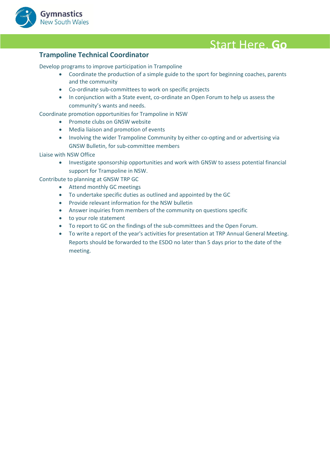

<span id="page-25-0"></span>**Trampoline Technical Coordinator**<br>Develop programs to improve participation in Trampoline

- Coordinate the production of a simple guide to the sport for beginning coaches, parents and the community
- Co-ordinate sub-committees to work on specific projects
- In conjunction with a State event, co-ordinate an Open Forum to help us assess the community's wants and needs.

Coordinate promotion opportunities for Trampoline in NSW

- Promote clubs on GNSW website
- Media liaison and promotion of events
- Involving the wider Trampoline Community by either co-opting and or advertising via GNSW Bulletin, for sub-committee members

#### Liaise with NSW Office

• Investigate sponsorship opportunities and work with GNSW to assess potential financial support for Trampoline in NSW.

Contribute to planning at GNSW TRP GC

- Attend monthly GC meetings
- To undertake specific duties as outlined and appointed by the GC
- Provide relevant information for the NSW bulletin
- Answer inquiries from members of the community on questions specific
- to your role statement
- To report to GC on the findings of the sub-committees and the Open Forum.
- To write a report of the year's activities for presentation at TRP Annual General Meeting. Reports should be forwarded to the ESDO no later than 5 days prior to the date of the meeting.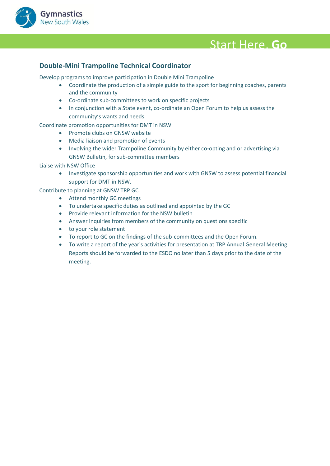

#### <span id="page-26-0"></span>**Anywhere! Double-Mini Trampoline Technical Coordinator**

Develop programs to improve participation in Double Mini Trampoline

- Coordinate the production of a simple guide to the sport for beginning coaches, parents and the community
- Co-ordinate sub-committees to work on specific projects
- In conjunction with a State event, co-ordinate an Open Forum to help us assess the community's wants and needs.

Coordinate promotion opportunities for DMT in NSW

- Promote clubs on GNSW website
- Media liaison and promotion of events
- Involving the wider Trampoline Community by either co-opting and or advertising via GNSW Bulletin, for sub-committee members

Liaise with NSW Office

• Investigate sponsorship opportunities and work with GNSW to assess potential financial support for DMT in NSW.

Contribute to planning at GNSW TRP GC

- Attend monthly GC meetings
- To undertake specific duties as outlined and appointed by the GC
- Provide relevant information for the NSW bulletin
- Answer inquiries from members of the community on questions specific
- to your role statement
- To report to GC on the findings of the sub-committees and the Open Forum.
- To write a report of the year's activities for presentation at TRP Annual General Meeting. Reports should be forwarded to the ESDO no later than 5 days prior to the date of the meeting.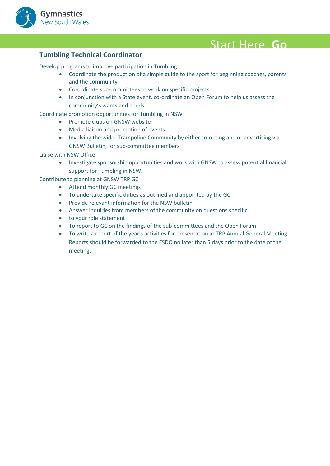

<span id="page-27-0"></span>**Tumbling Technical Coordinator**<br>Develop programs to improve participation in Tumbling

- Coordinate the production of a simple guide to the sport for beginning coaches, parents and the community
- Co-ordinate sub-committees to work on specific projects
- In conjunction with a State event, co-ordinate an Open Forum to help us assess the community's wants and needs.

Coordinate promotion opportunities for Tumbling in NSW

- Promote clubs on GNSW website
- Media liaison and promotion of events
- Involving the wider Trampoline Community by either co-opting and or advertising via GNSW Bulletin, for sub-committee members

#### Liaise with NSW Office

• Investigate sponsorship opportunities and work with GNSW to assess potential financial support for Tumbling in NSW.

Contribute to planning at GNSW TRP GC

- Attend monthly GC meetings
- To undertake specific duties as outlined and appointed by the GC
- Provide relevant information for the NSW bulletin
- Answer inquiries from members of the community on questions specific
- to your role statement
- To report to GC on the findings of the sub-committees and the Open Forum.
- To write a report of the year's activities for presentation at TRP Annual General Meeting. Reports should be forwarded to the ESDO no later than 5 days prior to the date of the meeting.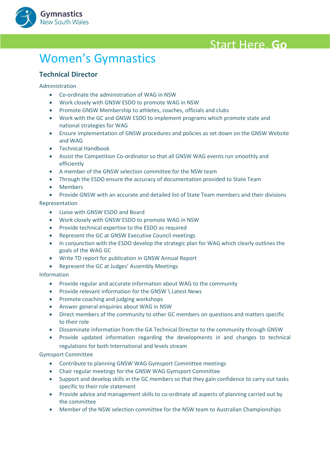

## <span id="page-28-0"></span>**Women's Gymnastics**

#### <span id="page-28-1"></span>**Technical Director**

#### Administration

- Co-ordinate the administration of WAG in NSW
- Work closely with GNSW ESDO to promote WAG in NSW
- Promote GNSW Membership to athletes, coaches, officials and clubs
- Work with the GC and GNSW ESDO to implement programs which promote state and national strategies for WAG
- Ensure implementation of GNSW procedures and policies as set down on the GNSW Website and WAG
- Technical Handbook
- Assist the Competition Co-ordinator so that all GNSW WAG events run smoothly and efficiently
- A member of the GNSW selection committee for the NSW team
- Through the ESDO ensure the accuracy of documentation provided to State Team
- Members
- Provide GNSW with an accurate and detailed list of State Team members and their divisions

#### Representation

- Liaise with GNSW ESDO and Board
- Work closely with GNSW ESDO to promote WAG in NSW
- Provide technical expertise to the ESDO as required
- Represent the GC at GNSW Executive Council meetings
- In conjunction with the ESDO develop the strategic plan for WAG which clearly outlines the goals of the WAG GC
- Write TD report for publication in GNSW Annual Report
- Represent the GC at Judges' Assembly Meetings

#### Information

- Provide regular and accurate information about WAG to the community
- Provide relevant information for the GNSW \ Latest News
- Promote coaching and judging workshops
- Answer general enquiries about WAG in NSW
- Direct members of the community to other GC members on questions and matters specific to their role
- Disseminate information from the GA Technical Director to the community through GNSW
- Provide updated information regarding the developments in and changes to technical regulations for both International and levels stream

- Contribute to planning GNSW WAG Gymsport Committee meetings
- Chair regular meetings for the GNSW WAG Gymsport Committee
- Support and develop skills in the GC members so that they gain confidence to carry out tasks specific to their role statement
- Provide advice and management skills to co-ordinate all aspects of planning carried out by the committee
- Member of the NSW selection committee for the NSW team to Australian Championships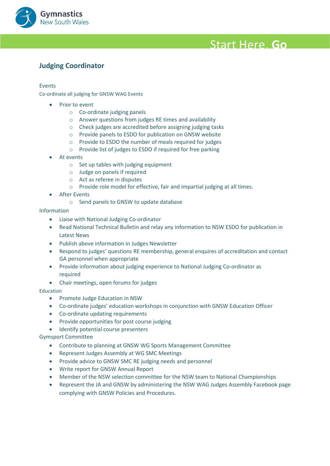

### <span id="page-29-0"></span>**Anywhere! Judging Coordinator**

#### Events

Co-ordinate all judging for GNSW WAG Events

- Prior to event
	- o Co-ordinate judging panels
	- o Answer questions from judges RE times and availability
	- o Check judges are accredited before assigning judging tasks
	- o Provide panels to ESDO for publication on GNSW website
	- o Provide to ESDO the number of meals required for judges
	- o Provide list of judges to ESDO if required for free parking
- At events
	- o Set up tables with judging equipment
	- o Judge on panels if required
	- o Act as referee in disputes
	- o Provide role model for effective, fair and impartial judging at all times.
- After Events
	- o Send panels to GNSW to update database

Information

- Liaise with National Judging Co-ordinator
- Read National Technical Bulletin and relay any information to NSW ESDO for publication in Latest News
- Publish above information in Judges Newsletter
- Respond to judges' questions RE membership, general enquires of accreditation and contact GA personnel when appropriate
- Provide information about judging experience to National Judging Co-ordinator as required
- Chair meetings, open forums for judges

#### Education

- Promote Judge Education in NSW
- Co-ordinate judges' education workshops in conjunction with GNSW Education Officer
- Co-ordinate updating requirements
- Provide opportunities for post course judging
- Identify potential course presenters

- Contribute to planning at GNSW WG Sports Management Committee
- Represent Judges Assembly at WG SMC Meetings
- Provide advice to GNSW SMC RE judging needs and personnel
- Write report for GNSW Annual Report
- Member of the NSW selection committee for the NSW team to National Championships
- Represent the JA and GNSW by administering the NSW WAG Judges Assembly Facebook page complying with GNSW Policies and Procedures.